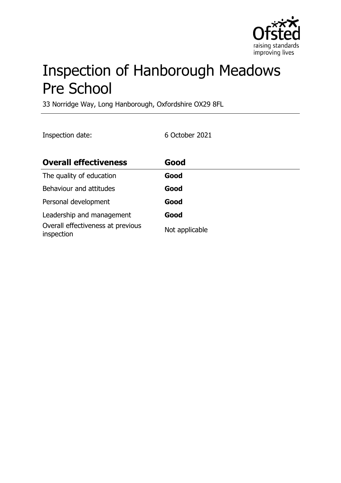

# Inspection of Hanborough Meadows Pre School

33 Norridge Way, Long Hanborough, Oxfordshire OX29 8FL

Inspection date: 6 October 2021

| <b>Overall effectiveness</b>                    | Good           |
|-------------------------------------------------|----------------|
| The quality of education                        | Good           |
| Behaviour and attitudes                         | Good           |
| Personal development                            | Good           |
| Leadership and management                       | Good           |
| Overall effectiveness at previous<br>inspection | Not applicable |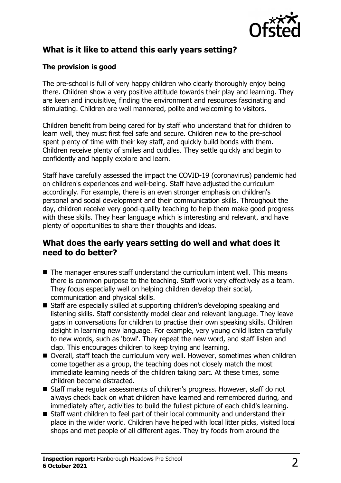

# **What is it like to attend this early years setting?**

### **The provision is good**

The pre-school is full of very happy children who clearly thoroughly enjoy being there. Children show a very positive attitude towards their play and learning. They are keen and inquisitive, finding the environment and resources fascinating and stimulating. Children are well mannered, polite and welcoming to visitors.

Children benefit from being cared for by staff who understand that for children to learn well, they must first feel safe and secure. Children new to the pre-school spent plenty of time with their key staff, and quickly build bonds with them. Children receive plenty of smiles and cuddles. They settle quickly and begin to confidently and happily explore and learn.

Staff have carefully assessed the impact the COVID-19 (coronavirus) pandemic had on children's experiences and well-being. Staff have adjusted the curriculum accordingly. For example, there is an even stronger emphasis on children's personal and social development and their communication skills. Throughout the day, children receive very good-quality teaching to help them make good progress with these skills. They hear language which is interesting and relevant, and have plenty of opportunities to share their thoughts and ideas.

## **What does the early years setting do well and what does it need to do better?**

- $\blacksquare$  The manager ensures staff understand the curriculum intent well. This means there is common purpose to the teaching. Staff work very effectively as a team. They focus especially well on helping children develop their social, communication and physical skills.
- Staff are especially skilled at supporting children's developing speaking and listening skills. Staff consistently model clear and relevant language. They leave gaps in conversations for children to practise their own speaking skills. Children delight in learning new language. For example, very young child listen carefully to new words, such as 'bowl'. They repeat the new word, and staff listen and clap. This encourages children to keep trying and learning.
- Overall, staff teach the curriculum very well. However, sometimes when children come together as a group, the teaching does not closely match the most immediate learning needs of the children taking part. At these times, some children become distracted.
- Staff make regular assessments of children's progress. However, staff do not always check back on what children have learned and remembered during, and immediately after, activities to build the fullest picture of each child's learning.
- Staff want children to feel part of their local community and understand their place in the wider world. Children have helped with local litter picks, visited local shops and met people of all different ages. They try foods from around the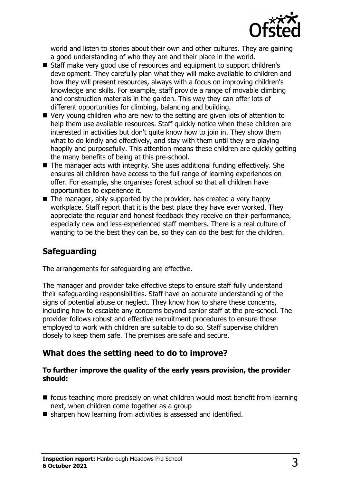

world and listen to stories about their own and other cultures. They are gaining a good understanding of who they are and their place in the world.

- Staff make very good use of resources and equipment to support children's development. They carefully plan what they will make available to children and how they will present resources, always with a focus on improving children's knowledge and skills. For example, staff provide a range of movable climbing and construction materials in the garden. This way they can offer lots of different opportunities for climbing, balancing and building.
- $\blacksquare$  Very young children who are new to the setting are given lots of attention to help them use available resources. Staff quickly notice when these children are interested in activities but don't quite know how to join in. They show them what to do kindly and effectively, and stay with them until they are playing happily and purposefully. This attention means these children are quickly getting the many benefits of being at this pre-school.
- $\blacksquare$  The manager acts with integrity. She uses additional funding effectively. She ensures all children have access to the full range of learning experiences on offer. For example, she organises forest school so that all children have opportunities to experience it.
- $\blacksquare$  The manager, ably supported by the provider, has created a very happy workplace. Staff report that it is the best place they have ever worked. They appreciate the regular and honest feedback they receive on their performance, especially new and less-experienced staff members. There is a real culture of wanting to be the best they can be, so they can do the best for the children.

# **Safeguarding**

The arrangements for safeguarding are effective.

The manager and provider take effective steps to ensure staff fully understand their safeguarding responsibilities. Staff have an accurate understanding of the signs of potential abuse or neglect. They know how to share these concerns, including how to escalate any concerns beyond senior staff at the pre-school. The provider follows robust and effective recruitment procedures to ensure those employed to work with children are suitable to do so. Staff supervise children closely to keep them safe. The premises are safe and secure.

# **What does the setting need to do to improve?**

#### **To further improve the quality of the early years provision, the provider should:**

- $\blacksquare$  focus teaching more precisely on what children would most benefit from learning next, when children come together as a group
- $\blacksquare$  sharpen how learning from activities is assessed and identified.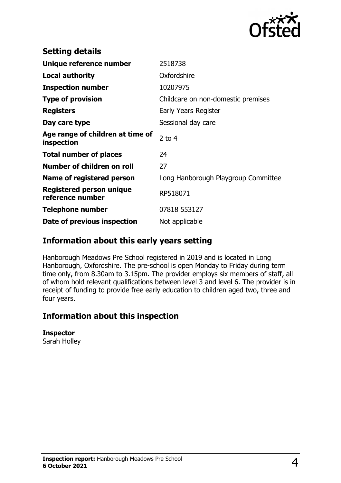

| <b>Setting details</b>                         |                                     |
|------------------------------------------------|-------------------------------------|
| Unique reference number                        | 2518738                             |
| Local authority                                | Oxfordshire                         |
| <b>Inspection number</b>                       | 10207975                            |
| <b>Type of provision</b>                       | Childcare on non-domestic premises  |
| <b>Registers</b>                               | Early Years Register                |
| Day care type                                  | Sessional day care                  |
| Age range of children at time of<br>inspection | $2$ to 4                            |
| <b>Total number of places</b>                  | 24                                  |
| Number of children on roll                     | 27                                  |
| Name of registered person                      | Long Hanborough Playgroup Committee |
| Registered person unique<br>reference number   | RP518071                            |
| <b>Telephone number</b>                        | 07818 553127                        |
| Date of previous inspection                    | Not applicable                      |

## **Information about this early years setting**

Hanborough Meadows Pre School registered in 2019 and is located in Long Hanborough, Oxfordshire. The pre-school is open Monday to Friday during term time only, from 8.30am to 3.15pm. The provider employs six members of staff, all of whom hold relevant qualifications between level 3 and level 6. The provider is in receipt of funding to provide free early education to children aged two, three and four years.

# **Information about this inspection**

#### **Inspector**

Sarah Holley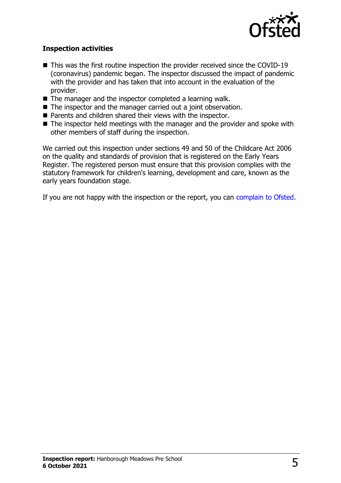

#### **Inspection activities**

- $\blacksquare$  This was the first routine inspection the provider received since the COVID-19 (coronavirus) pandemic began. The inspector discussed the impact of pandemic with the provider and has taken that into account in the evaluation of the provider.
- $\blacksquare$  The manager and the inspector completed a learning walk.
- $\blacksquare$  The inspector and the manager carried out a joint observation.
- $\blacksquare$  Parents and children shared their views with the inspector.
- $\blacksquare$  The inspector held meetings with the manager and the provider and spoke with other members of staff during the inspection.

We carried out this inspection under sections 49 and 50 of the Childcare Act 2006 on the quality and standards of provision that is registered on the Early Years Register. The registered person must ensure that this provision complies with the statutory framework for children's learning, development and care, known as the early years foundation stage.

If you are not happy with the inspection or the report, you can [complain to Ofsted](http://www.gov.uk/complain-ofsted-report).